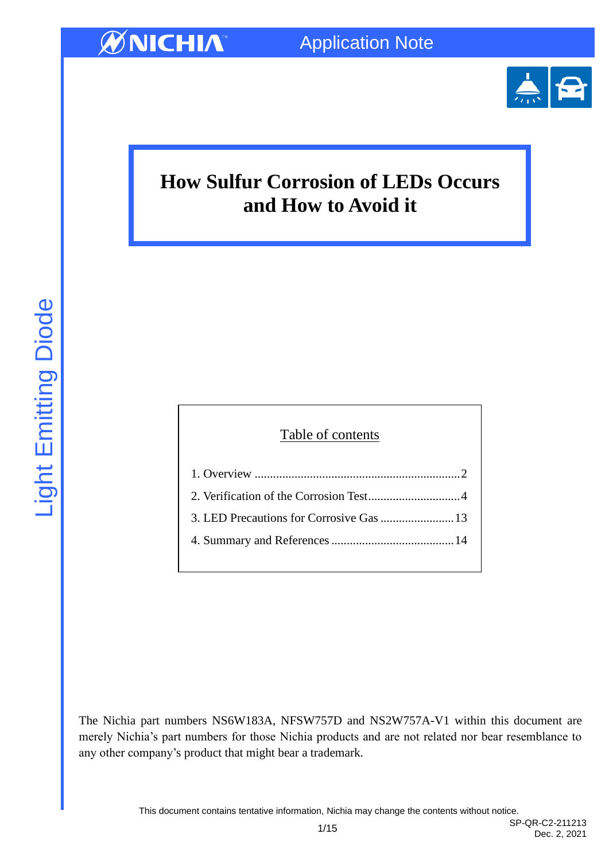

# **How Sulfur Corrosion of LEDs Occurs and How to Avoid it**

# Table of contents 1. Overview [...................................................................2](#page-1-0) [2. Verification of the Corrosion Test..............................4](#page-3-0) [3. LED Precautions for Corrosive Gas........................13](#page-12-0) [4. Summary and References........................................14](#page-13-0)

The Nichia part numbers NS6W183A, NFSW757D and NS2W757A-V1 within this document are merely Nichia's part numbers for those Nichia products and are not related nor bear resemblance to any other company's product that might bear a trademark.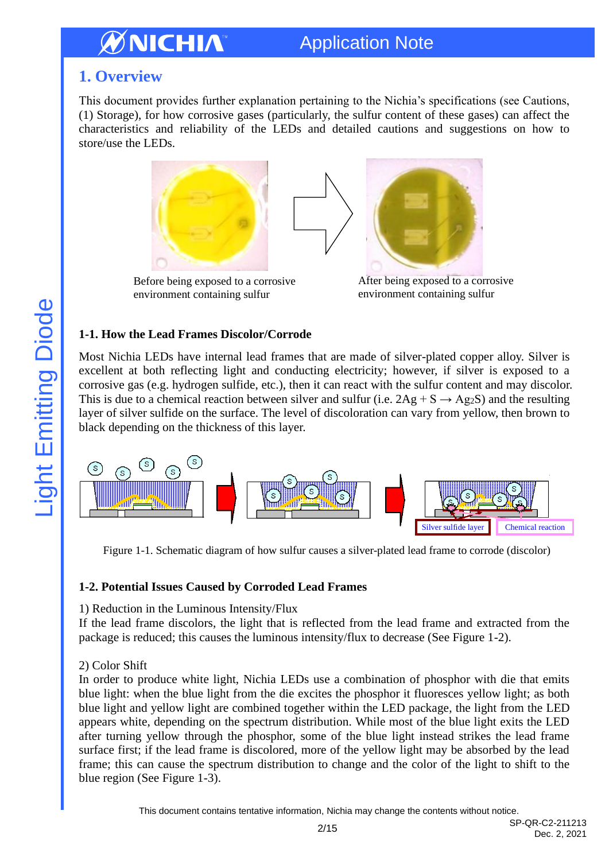# Application Note

## <span id="page-1-0"></span>**1. Overview**

This document provides further explanation pertaining to the Nichia's specifications (see Cautions, (1) Storage), for how corrosive gases (particularly, the sulfur content of these gases) can affect the characteristics and reliability of the LEDs and detailed cautions and suggestions on how to store/use the LEDs.



Before being exposed to a corrosive environment containing sulfur

After being exposed to a corrosive environment containing sulfur

## **1-1. How the Lead Frames Discolor/Corrode**

Most Nichia LEDs have internal lead frames that are made of silver-plated copper alloy. Silver is excellent at both reflecting light and conducting electricity; however, if silver is exposed to a corrosive gas (e.g. hydrogen sulfide, etc.), then it can react with the sulfur content and may discolor. This is due to a chemical reaction between silver and sulfur (i.e.  $2Ag + S \rightarrow Ag_2S$ ) and the resulting layer of silver sulfide on the surface. The level of discoloration can vary from yellow, then brown to black depending on the thickness of this layer.



Figure 1-1. Schematic diagram of how sulfur causes a silver-plated lead frame to corrode (discolor)

## **1-2. Potential Issues Caused by Corroded Lead Frames**

## 1) Reduction in the Luminous Intensity/Flux

If the lead frame discolors, the light that is reflected from the lead frame and extracted from the package is reduced; this causes the luminous intensity/flux to decrease (See Figure 1-2).

## 2) Color Shift

In order to produce white light, Nichia LEDs use a combination of phosphor with die that emits blue light: when the blue light from the die excites the phosphor it fluoresces yellow light; as both blue light and yellow light are combined together within the LED package, the light from the LED appears white, depending on the spectrum distribution. While most of the blue light exits the LED after turning yellow through the phosphor, some of the blue light instead strikes the lead frame surface first; if the lead frame is discolored, more of the yellow light may be absorbed by the lead frame; this can cause the spectrum distribution to change and the color of the light to shift to the blue region (See Figure 1-3).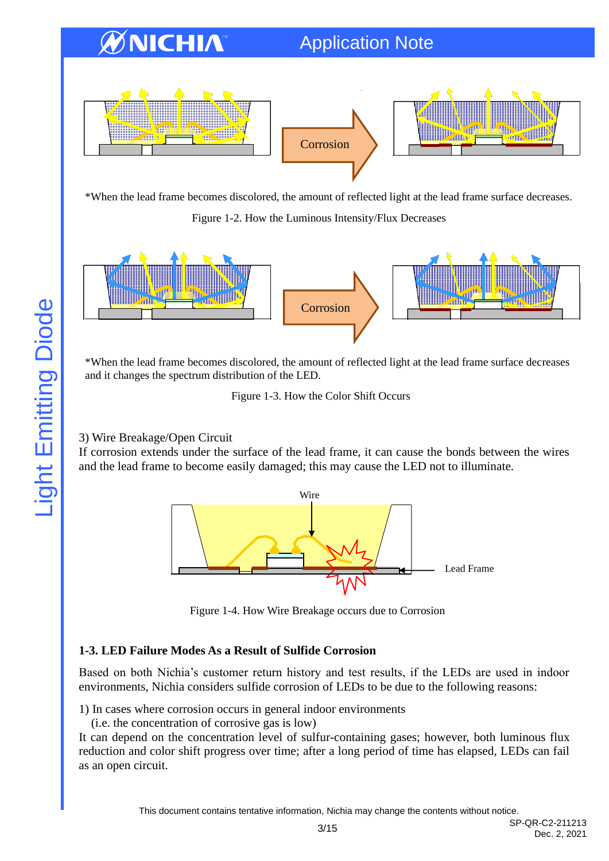# Application Note



\*When the lead frame becomes discolored, the amount of reflected light at the lead frame surface decreases.

Figure 1-2. How the Luminous Intensity/Flux Decreases



\*When the lead frame becomes discolored, the amount of reflected light at the lead frame surface decreases and it changes the spectrum distribution of the LED.

Figure 1-3. How the Color Shift Occurs

## 3) Wire Breakage/Open Circuit

If corrosion extends under the surface of the lead frame, it can cause the bonds between the wires and the lead frame to become easily damaged; this may cause the LED not to illuminate.



Figure 1-4. How Wire Breakage occurs due to Corrosion

## **1-3. LED Failure Modes As a Result of Sulfide Corrosion**

Based on both Nichia's customer return history and test results, if the LEDs are used in indoor environments, Nichia considers sulfide corrosion of LEDs to be due to the following reasons:

1) In cases where corrosion occurs in general indoor environments

(i.e. the concentration of corrosive gas is low)

It can depend on the concentration level of sulfur-containing gases; however, both luminous flux reduction and color shift progress over time; after a long period of time has elapsed, LEDs can fail as an open circuit.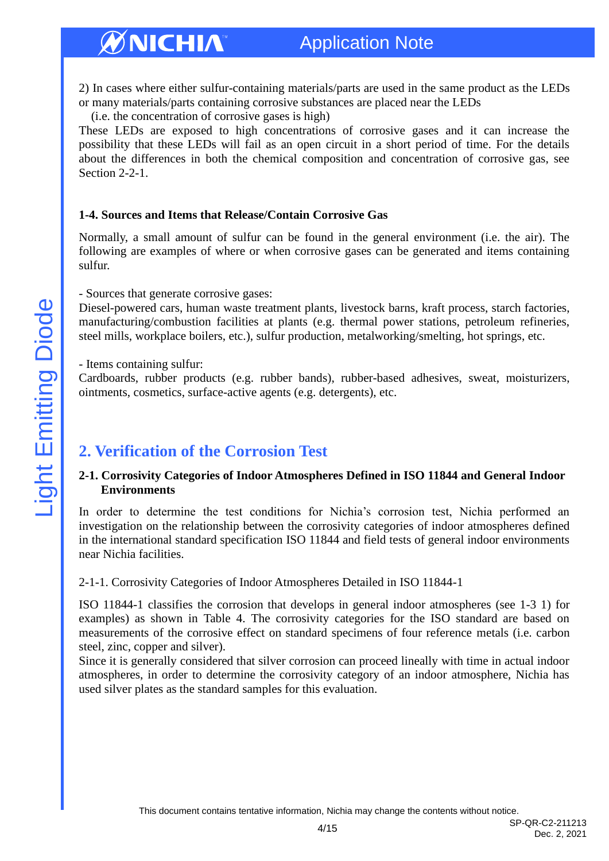## Application Note

2) In cases where either sulfur-containing materials/parts are used in the same product as the LEDs or many materials/parts containing corrosive substances are placed near the LEDs

(i.e. the concentration of corrosive gases is high)

These LEDs are exposed to high concentrations of corrosive gases and it can increase the possibility that these LEDs will fail as an open circuit in a short period of time. For the details about the differences in both the chemical composition and concentration of corrosive gas, see Section 2-2-1.

#### **1-4. Sources and Items that Release/Contain Corrosive Gas**

Normally, a small amount of sulfur can be found in the general environment (i.e. the air). The following are examples of where or when corrosive gases can be generated and items containing sulfur.

#### - Sources that generate corrosive gases:

Diesel-powered cars, human waste treatment plants, livestock barns, kraft process, starch factories, manufacturing/combustion facilities at plants (e.g. thermal power stations, petroleum refineries, steel mills, workplace boilers, etc.), sulfur production, metalworking/smelting, hot springs, etc.

- Items containing sulfur:

Cardboards, rubber products (e.g. rubber bands), rubber-based adhesives, sweat, moisturizers, ointments, cosmetics, surface-active agents (e.g. detergents), etc.

## <span id="page-3-0"></span>**2. Verification of the Corrosion Test**

#### **2-1. Corrosivity Categories of Indoor Atmospheres Defined in ISO 11844 and General Indoor Environments**

In order to determine the test conditions for Nichia's corrosion test, Nichia performed an investigation on the relationship between the corrosivity categories of indoor atmospheres defined in the international standard specification ISO 11844 and field tests of general indoor environments near Nichia facilities.

#### 2-1-1. Corrosivity Categories of Indoor Atmospheres Detailed in ISO 11844-1

ISO 11844-1 classifies the corrosion that develops in general indoor atmospheres (see 1-3 1) for examples) as shown in Table 4. The corrosivity categories for the ISO standard are based on measurements of the corrosive effect on standard specimens of four reference metals (i.e. carbon steel, zinc, copper and silver).

Since it is generally considered that silver corrosion can proceed lineally with time in actual indoor atmospheres, in order to determine the corrosivity category of an indoor atmosphere, Nichia has used silver plates as the standard samples for this evaluation.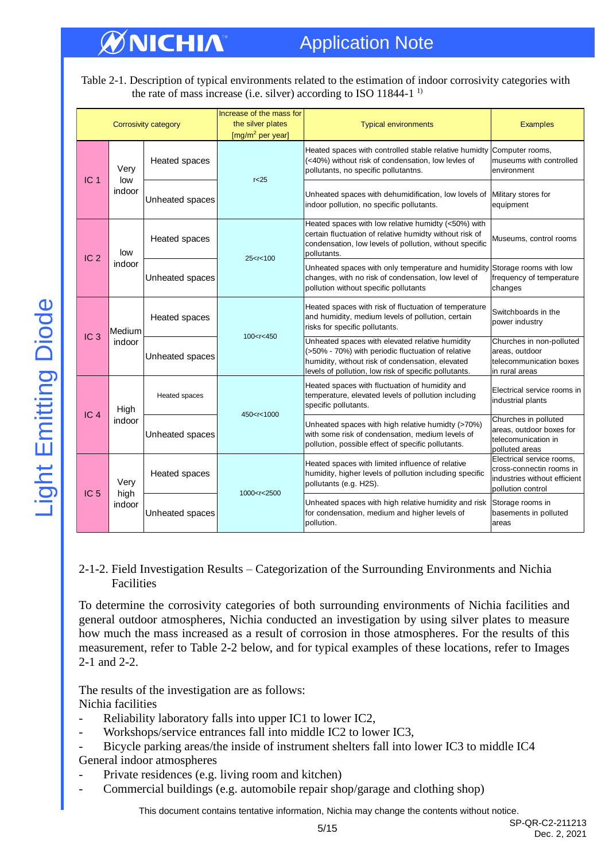# Application Note

Table 2-1. Description of typical environments related to the estimation of indoor corrosivity categories with the rate of mass increase (i.e. silver) according to ISO 11844-1<sup>1</sup>

|                 | <b>Corrosivity category</b>                  |                               | Increase of the mass for<br>the silver plates<br>$[mg/m2$ per year]                                                                                                                                                                                                                                  | <b>Typical environments</b>                                                                                                                                                                                        | <b>Examples</b>                                                                                            |
|-----------------|----------------------------------------------|-------------------------------|------------------------------------------------------------------------------------------------------------------------------------------------------------------------------------------------------------------------------------------------------------------------------------------------------|--------------------------------------------------------------------------------------------------------------------------------------------------------------------------------------------------------------------|------------------------------------------------------------------------------------------------------------|
| IC <sub>1</sub> | Very<br>low                                  | Heated spaces                 | r<25                                                                                                                                                                                                                                                                                                 | Heated spaces with controlled stable relative humidty Computer rooms,<br>(<40%) without risk of condensation, low levles of<br>pollutants, no specific pollutantns.                                                | museums with controlled<br>environment                                                                     |
|                 | indoor                                       | Unheated spaces               |                                                                                                                                                                                                                                                                                                      | Unheated spaces with dehumidification, low lovels of<br>indoor pollution, no specific pollutants.                                                                                                                  | Military stores for<br>equipment                                                                           |
| IC <sub>2</sub> | low                                          | Heated spaces<br>25 < r < 100 |                                                                                                                                                                                                                                                                                                      | Heated spaces with low relative humidty (<50%) with<br>certain fluctuation of relative humidty without risk of<br>condensation, low levels of pollution, without specific<br>pollutants.                           | Museums, control rooms                                                                                     |
|                 | indoor<br>Unheated spaces                    |                               |                                                                                                                                                                                                                                                                                                      | Unheated spaces with only temperature and humidity Storage rooms with low<br>changes, with no risk of condensation, low level of<br>pollution without specific pollutants                                          | frequency of temperature<br>changes                                                                        |
|                 | Medium                                       | Heated spaces                 |                                                                                                                                                                                                                                                                                                      | Heated spaces with risk of fluctuation of temperature<br>and humidity, medium levels of pollution, certain<br>risks for specific pollutants.                                                                       | Switchboards in the<br>power industry                                                                      |
|                 | IC <sub>3</sub><br>indoor<br>Unheated spaces |                               | 100 < r < 450                                                                                                                                                                                                                                                                                        | Unheated spaces with elevated relative humidity<br>(>50% - 70%) with periodic fluctuation of relative<br>humidity, without risk of condensation, elevated<br>levels of pollution, low risk of specific pollutants. | Churches in non-polluted<br>areas, outdoor<br>telecommunication boxes<br>in rural areas                    |
| IC <sub>4</sub> | Heated spaces<br>High                        |                               | 450 <r<1000< td=""><td>Heated spaces with fluctuation of humidity and<br/>temperature, elevated levels of pollution including<br/>specific pollutants.</td><td>Electrical service rooms in<br/>industrial plants</td></r<1000<>                                                                      | Heated spaces with fluctuation of humidity and<br>temperature, elevated levels of pollution including<br>specific pollutants.                                                                                      | Electrical service rooms in<br>industrial plants                                                           |
|                 | indoor                                       | Unheated spaces               |                                                                                                                                                                                                                                                                                                      | Unheated spaces with high relative humidty (>70%)<br>with some risk of condensation, medium levels of<br>pollution, possible effect of specific pollutants.                                                        | Churches in polluted<br>areas, outdoor boxes for<br>telecomunication in<br>polluted areas                  |
| IC <sub>5</sub> | Very<br>high                                 | Heated spaces                 | 1000 <r<2500< td=""><td>Heated spaces with limited influence of relative<br/>humidity, higher levels of pollution including specific<br/>pollutants (e.g. H2S).</td><td>Electrical service rooms,<br/>cross-connectin rooms in<br/>industries without efficient<br/>pollution control</td></r<2500<> | Heated spaces with limited influence of relative<br>humidity, higher levels of pollution including specific<br>pollutants (e.g. H2S).                                                                              | Electrical service rooms,<br>cross-connectin rooms in<br>industries without efficient<br>pollution control |
|                 | indoor                                       | Unheated spaces               |                                                                                                                                                                                                                                                                                                      | Unheated spaces with high relative humidity and risk Storage rooms in<br>for condensation, medium and higher levels of<br>pollution.                                                                               | basements in polluted<br>areas                                                                             |

#### 2-1-2. Field Investigation Results – Categorization of the Surrounding Environments and Nichia Facilities

To determine the corrosivity categories of both surrounding environments of Nichia facilities and general outdoor atmospheres, Nichia conducted an investigation by using silver plates to measure how much the mass increased as a result of corrosion in those atmospheres. For the results of this measurement, refer to Table 2-2 below, and for typical examples of these locations, refer to Images 2-1 and 2-2.

The results of the investigation are as follows: Nichia facilities

- Reliability laboratory falls into upper IC1 to lower IC2,
- Workshops/service entrances fall into middle IC2 to lower IC3,
- Bicycle parking areas/the inside of instrument shelters fall into lower IC3 to middle IC4 General indoor atmospheres
- Private residences (e.g. living room and kitchen)
- Commercial buildings (e.g. automobile repair shop/garage and clothing shop)

This document contains tentative information, Nichia may change the contents without notice.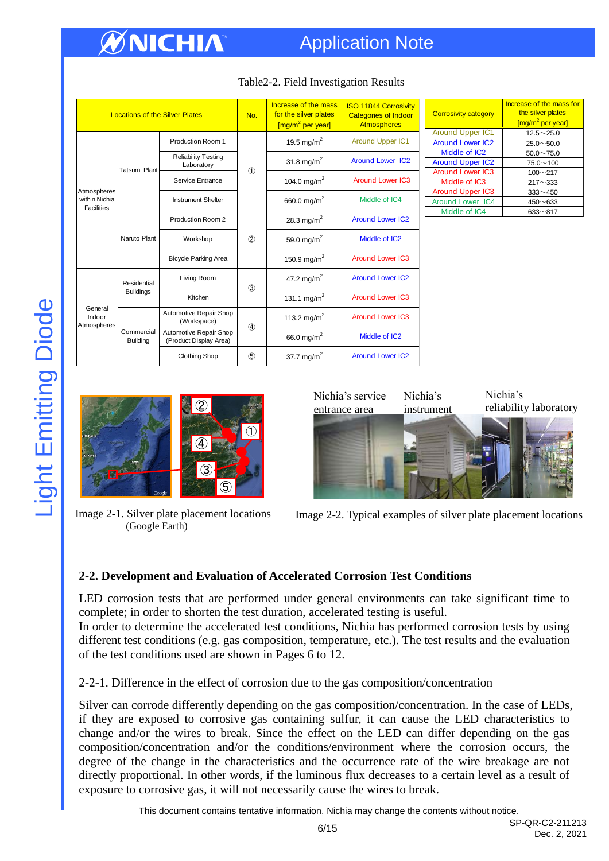# Application Note

| <b>Locations of the Silver Plates</b>             |                               | No.                                              | Increase of the mass<br>for the silver plates<br>[mg/m <sup>2</sup> per year] | <b>ISO 11844 Corrosivity</b><br><b>Categories of Indoor</b><br><b>Atmospheres</b> |                         |
|---------------------------------------------------|-------------------------------|--------------------------------------------------|-------------------------------------------------------------------------------|-----------------------------------------------------------------------------------|-------------------------|
| Atmospheres<br>within Nichia<br><b>Facilities</b> |                               | Production Room 1                                |                                                                               | 19.5 mg/m <sup>2</sup>                                                            | <b>Around Upper IC1</b> |
|                                                   | Tatsumi Plant                 | <b>Reliability Testing</b><br>Laboratory         | $\circled{1}$                                                                 | 31.8 mg/m <sup>2</sup>                                                            | <b>Around Lower IC2</b> |
|                                                   |                               | Service Entrance                                 |                                                                               | 104.0 mg/m <sup>2</sup>                                                           | <b>Around Lower IC3</b> |
|                                                   |                               | <b>Instrument Shelter</b>                        |                                                                               | 660.0 mg/m <sup>2</sup>                                                           | Middle of IC4           |
|                                                   | Naruto Plant                  | Production Room 2                                |                                                                               | 28.3 mg/m <sup>2</sup>                                                            | <b>Around Lower IC2</b> |
|                                                   |                               | Workshop                                         | $^{\circledR}$                                                                | 59.0 mg/m <sup>2</sup>                                                            | Middle of IC2           |
|                                                   |                               | <b>Bicycle Parking Area</b>                      |                                                                               | 150.9 mg/m <sup>2</sup>                                                           | <b>Around Lower IC3</b> |
|                                                   | Residential                   | Living Room                                      | $\circled{3}$                                                                 | 47.2 mg/m <sup>2</sup>                                                            | <b>Around Lower IC2</b> |
| General<br>Indoor<br>Atmospheres                  | <b>Buildings</b>              | Kitchen                                          |                                                                               | 131.1 mg/m <sup>2</sup>                                                           | <b>Around Lower IC3</b> |
|                                                   |                               | Automotive Repair Shop<br>(Workspace)            |                                                                               | 113.2 mg/m <sup>2</sup>                                                           | <b>Around Lower IC3</b> |
|                                                   | Commercial<br><b>Building</b> | Automotive Repair Shop<br>(Product Display Area) | $\circledA$                                                                   | 66.0 mg/m <sup>2</sup>                                                            | Middle of IC2           |
|                                                   |                               | <b>Clothing Shop</b>                             | $\circledS$                                                                   | 37.7 mg/m <sup>2</sup>                                                            | <b>Around Lower IC2</b> |

## Table2-2. Field Investigation Results

| <b>Corrosivity category</b> | Increase of the mass for<br>the silver plates<br>[mg/m <sup>2</sup> per year] |
|-----------------------------|-------------------------------------------------------------------------------|
| <b>Around Upper IC1</b>     | $12.5 \sim 25.0$                                                              |
| <b>Around Lower IC2</b>     | $25.0 \sim 50.0$                                                              |
| Middle of IC2               | $50.0 \sim 75.0$                                                              |
| <b>Around Upper IC2</b>     | $75.0 \sim 100$                                                               |
| <b>Around Lower IC3</b>     | $100 - 217$                                                                   |
| Middle of IC3               | $217 - 333$                                                                   |
| <b>Around Upper IC3</b>     | $333 - 450$                                                                   |
| <b>Around Lower IC4</b>     | $450 - 633$                                                                   |
| Middle of IC4               | $633 - 817$                                                                   |



Image 2-1. Silver plate placement locations (Google Earth)



Image 2-2. Typical examples of silver plate placement locations

## **2-2. Development and Evaluation of Accelerated Corrosion Test Conditions**

LED corrosion tests that are performed under general environments can take significant time to complete; in order to shorten the test duration, accelerated testing is useful.

In order to determine the accelerated test conditions, Nichia has performed corrosion tests by using different test conditions (e.g. gas composition, temperature, etc.). The test results and the evaluation of the test conditions used are shown in Pages 6 to 12.

#### 2-2-1. Difference in the effect of corrosion due to the gas composition/concentration

Silver can corrode differently depending on the gas composition/concentration. In the case of LEDs, if they are exposed to corrosive gas containing sulfur, it can cause the LED characteristics to change and/or the wires to break. Since the effect on the LED can differ depending on the gas composition/concentration and/or the conditions/environment where the corrosion occurs, the degree of the change in the characteristics and the occurrence rate of the wire breakage are not directly proportional. In other words, if the luminous flux decreases to a certain level as a result of exposure to corrosive gas, it will not necessarily cause the wires to break.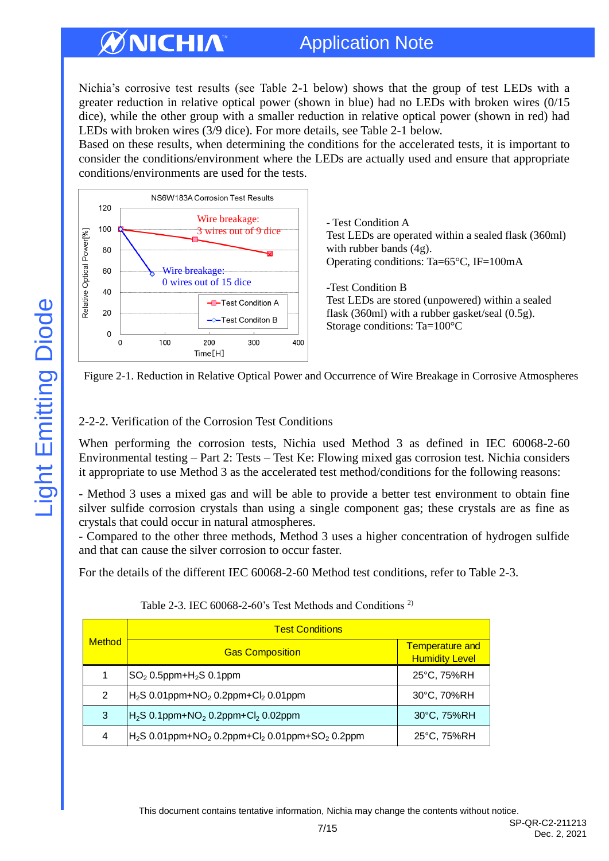# Application Note

Nichia's corrosive test results (see Table 2-1 below) shows that the group of test LEDs with a greater reduction in relative optical power (shown in blue) had no LEDs with broken wires (0/15 dice), while the other group with a smaller reduction in relative optical power (shown in red) had LEDs with broken wires (3/9 dice). For more details, see Table 2-1 below.

Based on these results, when determining the conditions for the accelerated tests, it is important to consider the conditions/environment where the LEDs are actually used and ensure that appropriate conditions/environments are used for the tests.



- Test Condition A Test LEDs are operated within a sealed flask (360ml) with rubber bands (4g). Operating conditions: Ta=65°C, IF=100mA

-Test Condition B Test LEDs are stored (unpowered) within a sealed flask (360ml) with a rubber gasket/seal (0.5g). Storage conditions: Ta=100°C



## 2-2-2. Verification of the Corrosion Test Conditions

When performing the corrosion tests, Nichia used Method 3 as defined in IEC 60068-2-60 Environmental testing – Part 2: Tests – Test Ke: Flowing mixed gas corrosion test. Nichia considers it appropriate to use Method 3 as the accelerated test method/conditions for the following reasons:

- Method 3 uses a mixed gas and will be able to provide a better test environment to obtain fine silver sulfide corrosion crystals than using a single component gas; these crystals are as fine as crystals that could occur in natural atmospheres.

- Compared to the other three methods, Method 3 uses a higher concentration of hydrogen sulfide and that can cause the silver corrosion to occur faster.

For the details of the different IEC 60068-2-60 Method test conditions, refer to Table 2-3.

| <b>Method</b> | <b>Test Conditions</b>                                                               |                                                 |  |  |  |
|---------------|--------------------------------------------------------------------------------------|-------------------------------------------------|--|--|--|
|               | <b>Gas Composition</b>                                                               | <b>Temperature and</b><br><b>Humidity Level</b> |  |  |  |
|               | $SO2 0.5$ ppm+H <sub>2</sub> S 0.1ppm                                                | 25°C, 75%RH                                     |  |  |  |
| 2             | $ H_{2}S$ 0.01ppm+NO <sub>2</sub> 0.2ppm+Cl <sub>2</sub> 0.01ppm                     | 30°C, 70%RH                                     |  |  |  |
| 3             | $H_{2}S$ 0.1ppm+NO <sub>2</sub> 0.2ppm+Cl <sub>2</sub> 0.02ppm                       | 30°C, 75%RH                                     |  |  |  |
| 4             | $H_2S$ 0.01ppm+NO <sub>2</sub> 0.2ppm+Cl <sub>2</sub> 0.01ppm+SO <sub>2</sub> 0.2ppm | 25°C, 75%RH                                     |  |  |  |

Table 2-3. IEC 60068-2-60's Test Methods and Conditions<sup>2)</sup>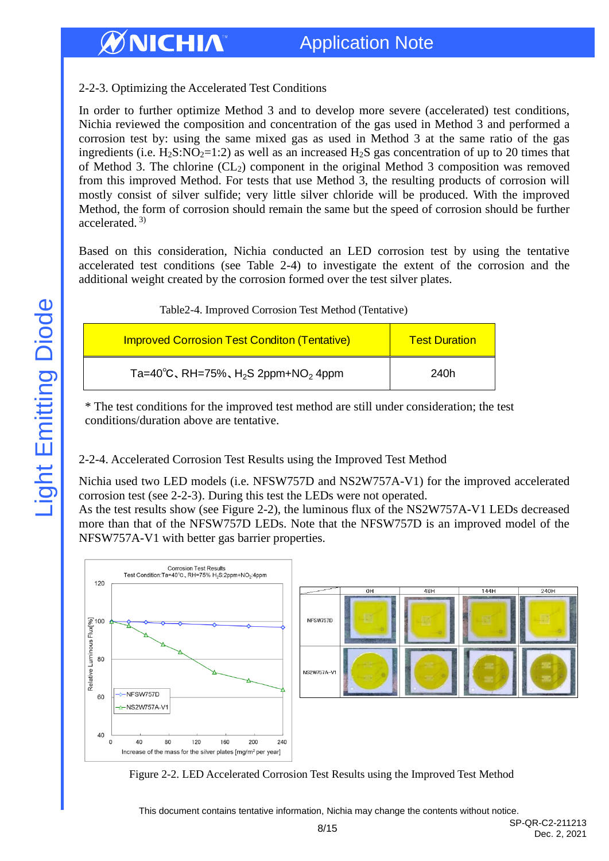## 2-2-3. Optimizing the Accelerated Test Conditions

In order to further optimize Method 3 and to develop more severe (accelerated) test conditions, Nichia reviewed the composition and concentration of the gas used in Method 3 and performed a corrosion test by: using the same mixed gas as used in Method 3 at the same ratio of the gas ingredients (i.e.  $H_2S:NO_2=1:2$ ) as well as an increased  $H_2S$  gas concentration of up to 20 times that of Method 3. The chlorine  $(CL_2)$  component in the original Method 3 composition was removed from this improved Method. For tests that use Method 3, the resulting products of corrosion will mostly consist of silver sulfide; very little silver chloride will be produced. With the improved Method, the form of corrosion should remain the same but the speed of corrosion should be further accelerated. 3)

Based on this consideration, Nichia conducted an LED corrosion test by using the tentative accelerated test conditions (see Table 2-4) to investigate the extent of the corrosion and the additional weight created by the corrosion formed over the test silver plates.

| Table 2-4. Improved Corrosion Test Method (Tentative)                 |                      |  |  |  |
|-----------------------------------------------------------------------|----------------------|--|--|--|
| <b>Improved Corrosion Test Conditon (Tentative)</b>                   | <b>Test Duration</b> |  |  |  |
| Ta=40 $\degree$ C, RH=75%, H <sub>2</sub> S 2ppm+NO <sub>2</sub> 4ppm | 240h                 |  |  |  |

\* The test conditions for the improved test method are still under consideration; the test conditions/duration above are tentative.

## 2-2-4. Accelerated Corrosion Test Results using the Improved Test Method

Nichia used two LED models (i.e. NFSW757D and NS2W757A-V1) for the improved accelerated corrosion test (see 2-2-3). During this test the LEDs were not operated. As the test results show (see Figure 2-2), the luminous flux of the NS2W757A-V1 LEDs decreased more than that of the NFSW757D LEDs. Note that the NFSW757D is an improved model of the



Figure 2-2. LED Accelerated Corrosion Test Results using the Improved Test Method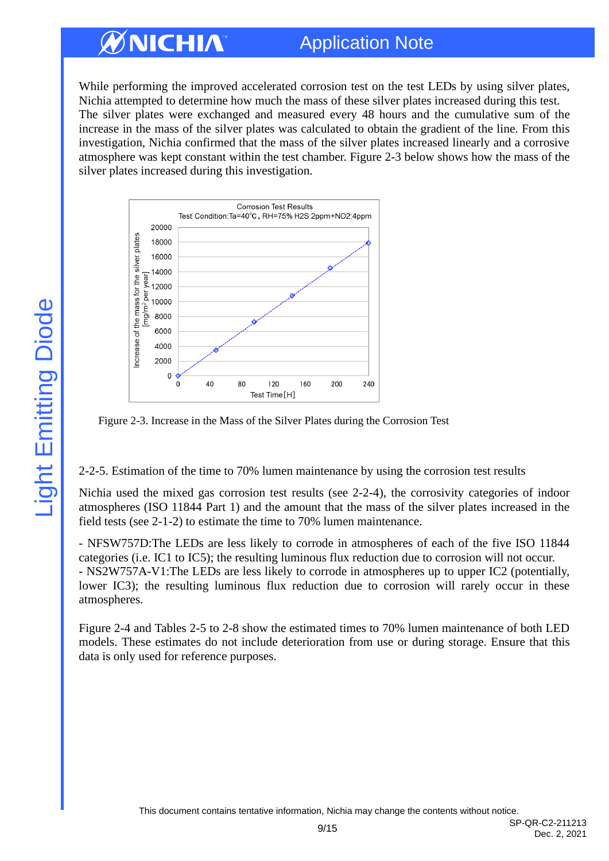# Application Note

While performing the improved accelerated corrosion test on the test LEDs by using silver plates, Nichia attempted to determine how much the mass of these silver plates increased during this test. The silver plates were exchanged and measured every 48 hours and the cumulative sum of the increase in the mass of the silver plates was calculated to obtain the gradient of the line. From this investigation, Nichia confirmed that the mass of the silver plates increased linearly and a corrosive atmosphere was kept constant within the test chamber. Figure 2-3 below shows how the mass of the silver plates increased during this investigation.



Figure 2-3. Increase in the Mass of the Silver Plates during the Corrosion Test

2-2-5. Estimation of the time to 70% lumen maintenance by using the corrosion test results

Nichia used the mixed gas corrosion test results (see 2-2-4), the corrosivity categories of indoor atmospheres (ISO 11844 Part 1) and the amount that the mass of the silver plates increased in the field tests (see 2-1-2) to estimate the time to 70% lumen maintenance.

- NFSW757D:The LEDs are less likely to corrode in atmospheres of each of the five ISO 11844 categories (i.e. IC1 to IC5); the resulting luminous flux reduction due to corrosion will not occur. - NS2W757A-V1:The LEDs are less likely to corrode in atmospheres up to upper IC2 (potentially, lower IC3); the resulting luminous flux reduction due to corrosion will rarely occur in these atmospheres.

Figure 2-4 and Tables 2-5 to 2-8 show the estimated times to 70% lumen maintenance of both LED models. These estimates do not include deterioration from use or during storage. Ensure that this data is only used for reference purposes.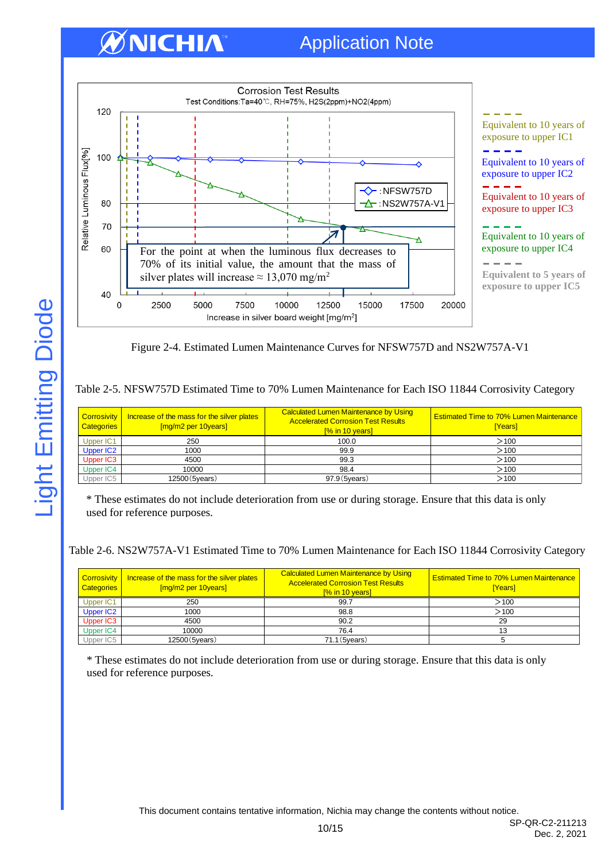# ØNICHIA



Figure 2-4. Estimated Lumen Maintenance Curves for NFSW757D and NS2W757A-V1

#### Table 2-5. NFSW757D Estimated Time to 70% Lumen Maintenance for Each ISO 11844 Corrosivity Category

| Categories            | Corrosivity   Increase of the mass for the silver plates<br>[mg/m2 per 10years] | <b>Calculated Lumen Maintenance by Using</b><br><b>Accelerated Corrosion Test Results</b><br>[% in 10 years] | <b>Estimated Time to 70% Lumen Maintenance</b><br>[Years] |
|-----------------------|---------------------------------------------------------------------------------|--------------------------------------------------------------------------------------------------------------|-----------------------------------------------------------|
| Upper IC1             | 250                                                                             | 100.0                                                                                                        | >100                                                      |
| Upper IC <sub>2</sub> | 1000                                                                            | 99.9                                                                                                         | $>$ 100                                                   |
| Upper IC3             | 4500                                                                            | 99.3                                                                                                         | >100                                                      |
| Upper IC4             | 10000                                                                           | 98.4                                                                                                         | >100                                                      |
| Upper IC5             | 12500 (5years)                                                                  | 97.9 (5years)                                                                                                | $>$ 100                                                   |

\* These estimates do not include deterioration from use or during storage. Ensure that this data is only used for reference purposes.

Table 2-6. NS2W757A-V1 Estimated Time to 70% Lumen Maintenance for Each ISO 11844 Corrosivity Category

| <b>Categories</b> | Corrosivity   Increase of the mass for the silver plates<br>[mg/m2 per 10years] | Calculated Lumen Maintenance by Using<br><b>Accelerated Corrosion Test Results</b><br>[% in 10 years] | <b>Estimated Time to 70% Lumen Maintenance</b><br>[Years] |
|-------------------|---------------------------------------------------------------------------------|-------------------------------------------------------------------------------------------------------|-----------------------------------------------------------|
| Upper IC1         | 250                                                                             | 99.7                                                                                                  | >100                                                      |
| Upper IC2         | 1000                                                                            | 98.8                                                                                                  | >100                                                      |
| Upper IC3         | 4500                                                                            | 90.2                                                                                                  | 29                                                        |
| Upper IC4         | 10000                                                                           | 76.4                                                                                                  |                                                           |
| Upper IC5         | 12500 (5years)                                                                  | 71.1 (5years)                                                                                         |                                                           |

\* These estimates do not include deterioration from use or during storage. Ensure that this data is only used for reference purposes.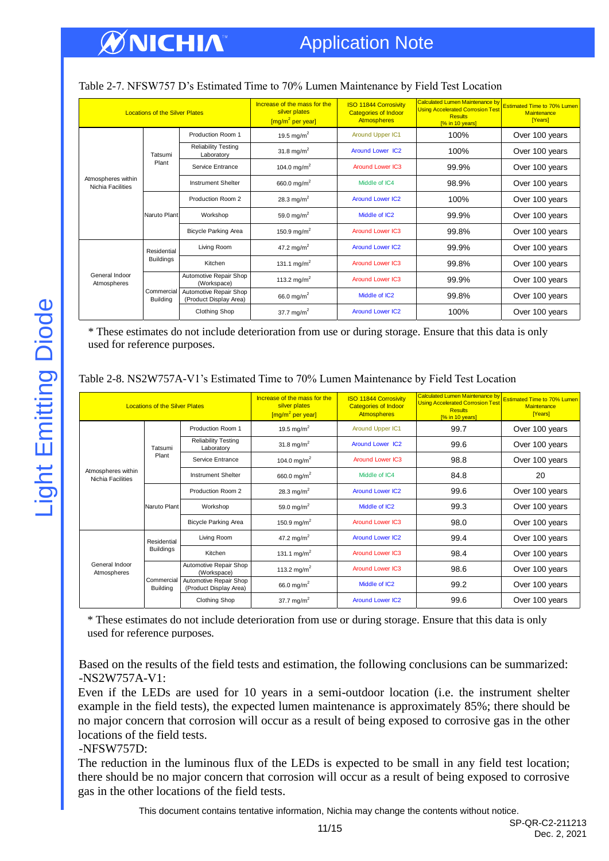| <b>Locations of the Silver Plates</b>   |                               |                                                  | Increase of the mass for the<br>silver plates<br>$\left[\frac{mg}{m^2} \text{per year}\right]$ | <b>ISO 11844 Corrosivity</b><br><b>Categories of Indoor</b><br><b>Atmospheres</b> | <b>Calculated Lumen Maintenance by</b><br><b>Using Accelerated Corrosion Test</b><br><b>Results</b><br>[% in 10 years] | <b>Estimated Time to 70% Lumen</b><br>Maintenance<br>[Years] |
|-----------------------------------------|-------------------------------|--------------------------------------------------|------------------------------------------------------------------------------------------------|-----------------------------------------------------------------------------------|------------------------------------------------------------------------------------------------------------------------|--------------------------------------------------------------|
|                                         |                               | Production Room 1                                | 19.5 mg/m <sup>2</sup>                                                                         | Around Upper IC1                                                                  | 100%                                                                                                                   | Over 100 years                                               |
|                                         | Tatsumi                       | <b>Reliability Testing</b><br>Laboratory         | 31.8 mg/m <sup>2</sup>                                                                         | <b>Around Lower IC2</b>                                                           | 100%                                                                                                                   | Over 100 years                                               |
|                                         | Plant                         | Service Entrance                                 | 104.0 mg/m <sup>2</sup>                                                                        | <b>Around Lower IC3</b>                                                           | 99.9%                                                                                                                  | Over 100 years                                               |
| Atmospheres within<br>Nichia Facilities |                               | <b>Instrument Shelter</b>                        | 660.0 mg/m <sup>2</sup>                                                                        | Middle of IC4                                                                     | 98.9%                                                                                                                  | Over 100 years                                               |
|                                         | Naruto Plant                  | Production Room 2<br>28.3 mg/m <sup>2</sup>      |                                                                                                | <b>Around Lower IC2</b>                                                           | 100%                                                                                                                   | Over 100 years                                               |
|                                         |                               | Workshop                                         | 59.0 mg/m <sup>2</sup>                                                                         | Middle of IC <sub>2</sub>                                                         | 99.9%                                                                                                                  | Over 100 years                                               |
|                                         |                               | <b>Bicycle Parking Area</b>                      | 150.9 mg/m <sup>2</sup>                                                                        | <b>Around Lower IC3</b>                                                           | 99.8%                                                                                                                  | Over 100 years                                               |
|                                         | Residential                   | Living Room                                      | 47.2 mg/m <sup>2</sup>                                                                         | <b>Around Lower IC2</b>                                                           | 99.9%                                                                                                                  | Over 100 years                                               |
|                                         | <b>Buildings</b>              | Kitchen                                          | 131.1 mg/m <sup>2</sup>                                                                        | <b>Around Lower IC3</b>                                                           | 99.8%                                                                                                                  | Over 100 years                                               |
| General Indoor<br>Atmospheres           |                               | Automotive Repair Shop<br>(Workspace)            | 113.2 mg/m <sup>2</sup>                                                                        | <b>Around Lower IC3</b>                                                           | 99.9%                                                                                                                  | Over 100 years                                               |
|                                         | Commercial<br><b>Building</b> | Automotive Repair Shop<br>(Product Display Area) | 66.0 mg/m <sup>2</sup>                                                                         | Middle of IC2                                                                     | 99.8%                                                                                                                  | Over 100 years                                               |
|                                         |                               | <b>Clothing Shop</b>                             | 37.7 mg/m <sup>2</sup>                                                                         | <b>Around Lower IC2</b>                                                           | 100%                                                                                                                   | Over 100 years                                               |

#### Table 2-7. NFSW757 D's Estimated Time to 70% Lumen Maintenance by Field Test Location

\* These estimates do not include deterioration from use or during storage. Ensure that this data is only used for reference purposes.

|  | Table 2-8. NS2W757A-V1's Estimated Time to 70% Lumen Maintenance by Field Test Location |
|--|-----------------------------------------------------------------------------------------|
|  |                                                                                         |

| <b>Locations of the Silver Plates</b>   |                               | Increase of the mass for the<br>silver plates<br>$\left[\frac{mg}{m^2} \text{ per year}\right]$ | <b>ISO 11844 Corrosivity</b><br><b>Categories of Indoor</b><br><b>Atmospheres</b> | <b>Calculated Lumen Maintenance by</b><br><b>Using Accelerated Corrosion Test</b><br><b>Results</b><br>[% in 10 years] | <b>Estimated Time to 70% Lumen</b><br>Maintenance<br>[Years] |                |
|-----------------------------------------|-------------------------------|-------------------------------------------------------------------------------------------------|-----------------------------------------------------------------------------------|------------------------------------------------------------------------------------------------------------------------|--------------------------------------------------------------|----------------|
|                                         |                               | Production Room 1                                                                               | 19.5 mg/m <sup>2</sup>                                                            | <b>Around Upper IC1</b>                                                                                                | 99.7                                                         | Over 100 years |
|                                         | Tatsumi                       | <b>Reliability Testing</b><br>Laboratory                                                        | 31.8 mg/m <sup>2</sup>                                                            | <b>Around Lower IC2</b>                                                                                                | 99.6                                                         | Over 100 years |
|                                         | Plant                         | Service Entrance                                                                                | 104.0 mg/m <sup>2</sup>                                                           | <b>Around Lower IC3</b>                                                                                                | 98.8                                                         | Over 100 years |
| Atmospheres within<br>Nichia Facilities |                               | <b>Instrument Shelter</b>                                                                       | 660.0 mg/m <sup>2</sup>                                                           | Middle of IC4                                                                                                          | 84.8                                                         | 20             |
|                                         | Naruto Plant                  | Production Room 2                                                                               | 28.3 mg/m <sup>2</sup>                                                            | <b>Around Lower IC2</b>                                                                                                | 99.6                                                         | Over 100 years |
|                                         |                               | Workshop                                                                                        | 59.0 mg/m <sup>2</sup>                                                            | Middle of IC2                                                                                                          | 99.3                                                         | Over 100 years |
|                                         |                               | <b>Bicycle Parking Area</b>                                                                     | 150.9 mg/m <sup>2</sup>                                                           | <b>Around Lower IC3</b>                                                                                                | 98.0                                                         | Over 100 years |
|                                         | Residential                   | Living Room                                                                                     | 47.2 mg/m <sup>2</sup>                                                            | <b>Around Lower IC2</b>                                                                                                | 99.4                                                         | Over 100 years |
| General Indoor<br>Atmospheres           | <b>Buildings</b>              | Kitchen                                                                                         | 131.1 mg/m <sup>2</sup>                                                           | <b>Around Lower IC3</b>                                                                                                | 98.4                                                         | Over 100 years |
|                                         |                               | Automotive Repair Shop<br>(Workspace)                                                           | 113.2 mg/m <sup>2</sup>                                                           | <b>Around Lower IC3</b>                                                                                                | 98.6                                                         | Over 100 years |
|                                         | Commercial<br><b>Building</b> | Automotive Repair Shop<br>(Product Display Area)                                                | 66.0 mg/m <sup>2</sup>                                                            | Middle of IC2                                                                                                          | 99.2                                                         | Over 100 years |
|                                         |                               | <b>Clothing Shop</b>                                                                            | 37.7 mg/m <sup>2</sup>                                                            | <b>Around Lower IC2</b>                                                                                                | 99.6                                                         | Over 100 years |

\* These estimates do not include deterioration from use or during storage. Ensure that this data is only used for reference purposes.

Based on the results of the field tests and estimation, the following conclusions can be summarized: -NS2W757A-V1:

Even if the LEDs are used for 10 years in a semi-outdoor location (i.e. the instrument shelter example in the field tests), the expected lumen maintenance is approximately 85%; there should be no major concern that corrosion will occur as a result of being exposed to corrosive gas in the other locations of the field tests.

#### -NFSW757D:

The reduction in the luminous flux of the LEDs is expected to be small in any field test location; there should be no major concern that corrosion will occur as a result of being exposed to corrosive gas in the other locations of the field tests.

This document contains tentative information, Nichia may change the contents without notice.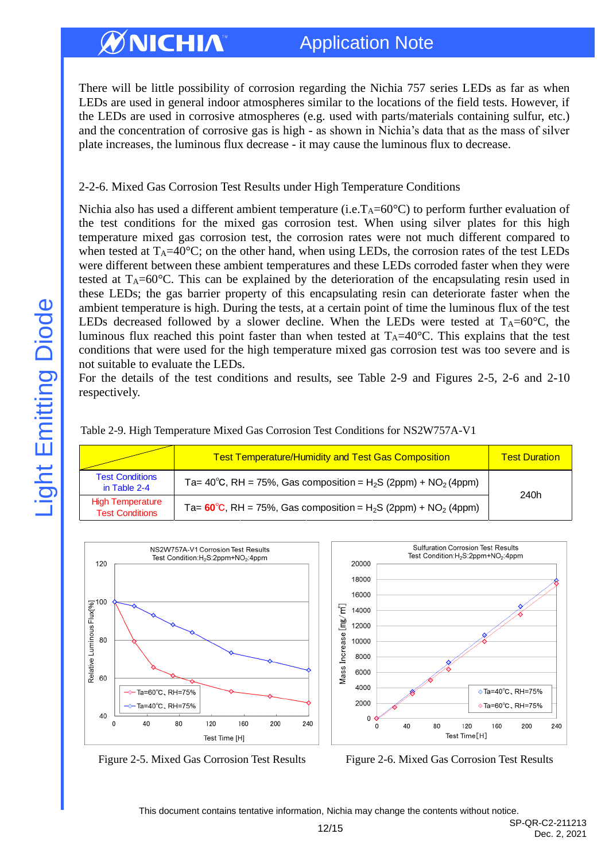There will be little possibility of corrosion regarding the Nichia 757 series LEDs as far as when LEDs are used in general indoor atmospheres similar to the locations of the field tests. However, if the LEDs are used in corrosive atmospheres (e.g. used with parts/materials containing sulfur, etc.) and the concentration of corrosive gas is high - as shown in Nichia's data that as the mass of silver plate increases, the luminous flux decrease - it may cause the luminous flux to decrease.

#### 2-2-6. Mixed Gas Corrosion Test Results under High Temperature Conditions

Nichia also has used a different ambient temperature (i.e.  $T_A=60^{\circ}C$ ) to perform further evaluation of the test conditions for the mixed gas corrosion test. When using silver plates for this high temperature mixed gas corrosion test, the corrosion rates were not much different compared to when tested at  $T_A=40^{\circ}$ C; on the other hand, when using LEDs, the corrosion rates of the test LEDs were different between these ambient temperatures and these LEDs corroded faster when they were tested at  $T_A=60^{\circ}$ C. This can be explained by the deterioration of the encapsulating resin used in these LEDs; the gas barrier property of this encapsulating resin can deteriorate faster when the ambient temperature is high. During the tests, at a certain point of time the luminous flux of the test LEDs decreased followed by a slower decline. When the LEDs were tested at  $T_A=60^{\circ}C$ , the luminous flux reached this point faster than when tested at  $T_A=40^{\circ}$ C. This explains that the test conditions that were used for the high temperature mixed gas corrosion test was too severe and is not suitable to evaluate the LEDs.

For the details of the test conditions and results, see Table 2-9 and Figures 2-5, 2-6 and 2-10 respectively.

| Table 2-9. High Temperature Mixed Gas Corrosion Test Conditions for NS2W757A-V1 |  |  |  |
|---------------------------------------------------------------------------------|--|--|--|
|                                                                                 |  |  |  |

|                                                   | <b>Test Temperature/Humidity and Test Gas Composition</b>                                        | <b>Test Duration</b> |
|---------------------------------------------------|--------------------------------------------------------------------------------------------------|----------------------|
| <b>Test Conditions</b><br>in Table 2-4            | Ta= 40°C, RH = 75%, Gas composition = $H_2S$ (2ppm) + NO <sub>2</sub> (4ppm)                     | 240h                 |
| <b>High Temperature</b><br><b>Test Conditions</b> | Ta= $60^{\circ}$ C, RH = 75%, Gas composition = H <sub>2</sub> S (2ppm) + NO <sub>2</sub> (4ppm) |                      |





Figure 2-5. Mixed Gas Corrosion Test Results Figure 2-6. Mixed Gas Corrosion Test Results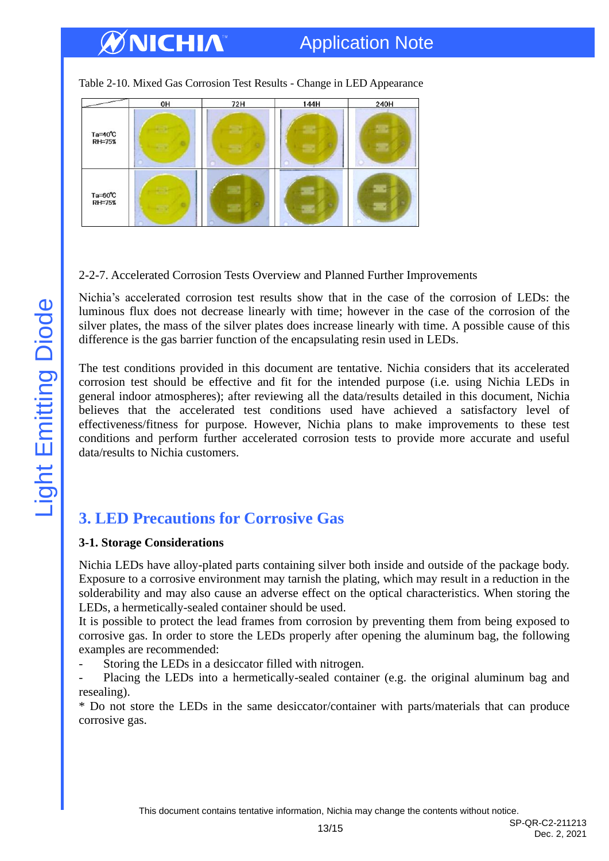# Application Note

Table 2-10. Mixed Gas Corrosion Test Results - Change in LED Appearance



## 2-2-7. Accelerated Corrosion Tests Overview and Planned Further Improvements

Nichia's accelerated corrosion test results show that in the case of the corrosion of LEDs: the luminous flux does not decrease linearly with time; however in the case of the corrosion of the silver plates, the mass of the silver plates does increase linearly with time. A possible cause of this difference is the gas barrier function of the encapsulating resin used in LEDs.

The test conditions provided in this document are tentative. Nichia considers that its accelerated corrosion test should be effective and fit for the intended purpose (i.e. using Nichia LEDs in general indoor atmospheres); after reviewing all the data/results detailed in this document, Nichia believes that the accelerated test conditions used have achieved a satisfactory level of effectiveness/fitness for purpose. However, Nichia plans to make improvements to these test conditions and perform further accelerated corrosion tests to provide more accurate and useful data/results to Nichia customers.

# <span id="page-12-0"></span>**3. LED Precautions for Corrosive Gas**

#### **3-1. Storage Considerations**

Nichia LEDs have alloy-plated parts containing silver both inside and outside of the package body. Exposure to a corrosive environment may tarnish the plating, which may result in a reduction in the solderability and may also cause an adverse effect on the optical characteristics. When storing the LEDs, a hermetically-sealed container should be used.

It is possible to protect the lead frames from corrosion by preventing them from being exposed to corrosive gas. In order to store the LEDs properly after opening the aluminum bag, the following examples are recommended:

Storing the LEDs in a desiccator filled with nitrogen.

- Placing the LEDs into a hermetically-sealed container (e.g. the original aluminum bag and resealing).

\* Do not store the LEDs in the same desiccator/container with parts/materials that can produce corrosive gas.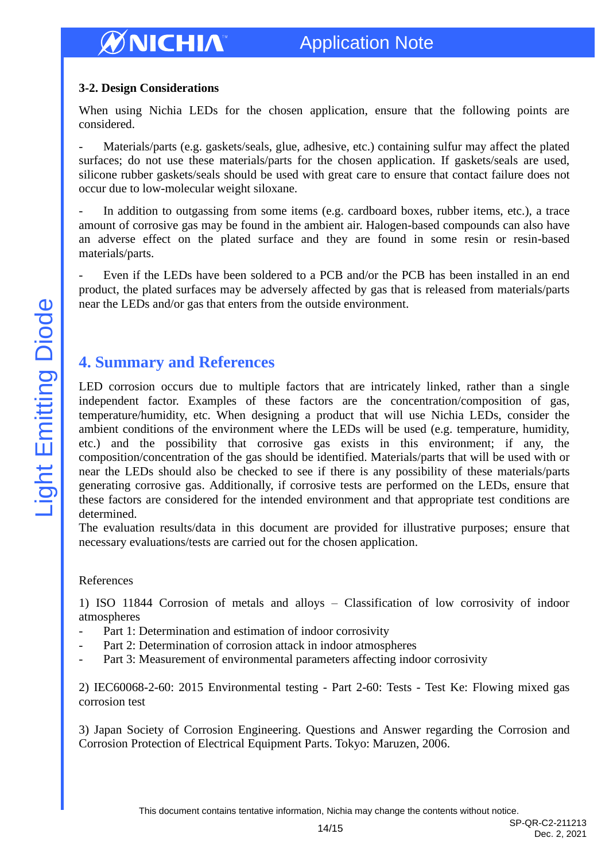#### **3-2. Design Considerations**

When using Nichia LEDs for the chosen application, ensure that the following points are considered.

Materials/parts (e.g. gaskets/seals, glue, adhesive, etc.) containing sulfur may affect the plated surfaces; do not use these materials/parts for the chosen application. If gaskets/seals are used, silicone rubber gaskets/seals should be used with great care to ensure that contact failure does not occur due to low-molecular weight siloxane.

In addition to outgassing from some items (e.g. cardboard boxes, rubber items, etc.), a trace amount of corrosive gas may be found in the ambient air. Halogen-based compounds can also have an adverse effect on the plated surface and they are found in some resin or resin-based materials/parts.

Even if the LEDs have been soldered to a PCB and/or the PCB has been installed in an end product, the plated surfaces may be adversely affected by gas that is released from materials/parts near the LEDs and/or gas that enters from the outside environment.

## <span id="page-13-0"></span>**4. Summary and References**

LED corrosion occurs due to multiple factors that are intricately linked, rather than a single independent factor. Examples of these factors are the concentration/composition of gas, temperature/humidity, etc. When designing a product that will use Nichia LEDs, consider the ambient conditions of the environment where the LEDs will be used (e.g. temperature, humidity, etc.) and the possibility that corrosive gas exists in this environment; if any, the composition/concentration of the gas should be identified. Materials/parts that will be used with or near the LEDs should also be checked to see if there is any possibility of these materials/parts generating corrosive gas. Additionally, if corrosive tests are performed on the LEDs, ensure that these factors are considered for the intended environment and that appropriate test conditions are determined.

The evaluation results/data in this document are provided for illustrative purposes; ensure that necessary evaluations/tests are carried out for the chosen application.

#### References

1) ISO 11844 Corrosion of metals and alloys – Classification of low corrosivity of indoor atmospheres

- Part 1: Determination and estimation of indoor corrosivity
- Part 2: Determination of corrosion attack in indoor atmospheres
- Part 3: Measurement of environmental parameters affecting indoor corrosivity

2) IEC60068-2-60: 2015 Environmental testing - Part 2-60: Tests - Test Ke: Flowing mixed gas corrosion test

3) Japan Society of Corrosion Engineering. Questions and Answer regarding the Corrosion and Corrosion Protection of Electrical Equipment Parts. Tokyo: Maruzen, 2006.